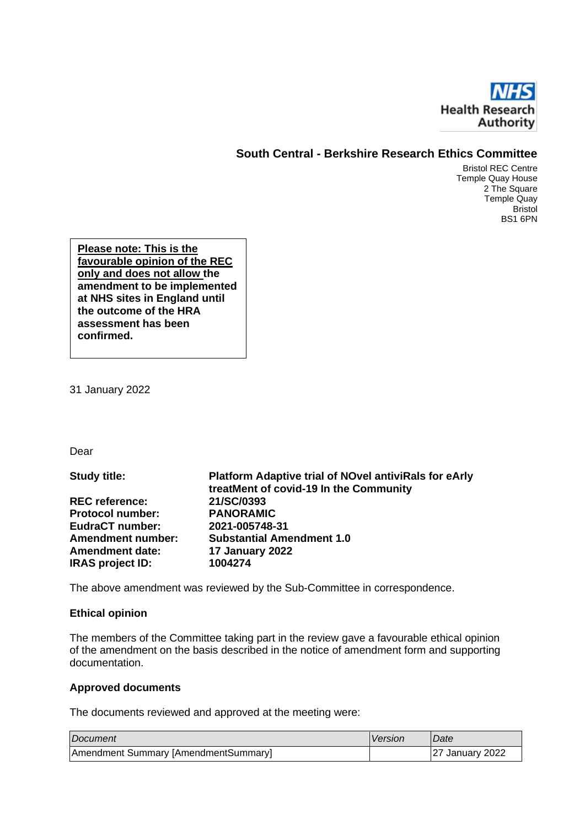

## **South Central - Berkshire Research Ethics Committee**

Bristol REC Centre Temple Quay House 2 The Square Temple Quay Bristol BS1 6PN

**Please note: This is the favourable opinion of the REC only and does not allow the amendment to be implemented at NHS sites in England until the outcome of the HRA assessment has been confirmed.** 

31 January 2022

Dear

**Study title: Platform Adaptive trial of NOvel antiviRals for eArly treatMent of covid-19 In the Community REC reference: 21/SC/0393 Protocol number: EudraCT number: 2021-005748-31 Amendment number: Substantial Amendment 1.0 Amendment date: 17 January 2022 IRAS project ID: 1004274**

The above amendment was reviewed by the Sub-Committee in correspondence.

#### **Ethical opinion**

The members of the Committee taking part in the review gave a favourable ethical opinion of the amendment on the basis described in the notice of amendment form and supporting documentation.

#### **Approved documents**

The documents reviewed and approved at the meeting were:

| Document                             | Version | <i>Date</i>            |
|--------------------------------------|---------|------------------------|
| Amendment Summary [AmendmentSummary] |         | <b>27 January 2022</b> |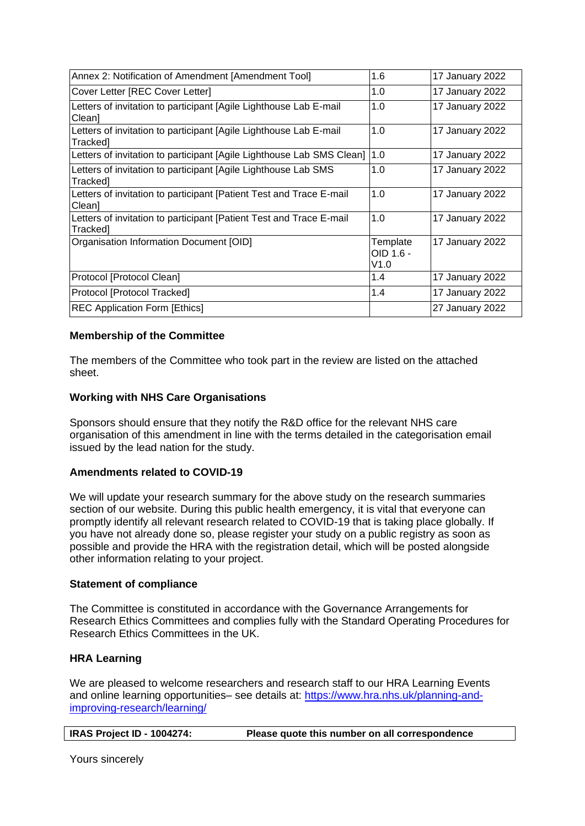| Annex 2: Notification of Amendment [Amendment Tool]                             | 1.6                           | 17 January 2022 |
|---------------------------------------------------------------------------------|-------------------------------|-----------------|
| Cover Letter [REC Cover Letter]                                                 | 1.0                           | 17 January 2022 |
| Letters of invitation to participant [Agile Lighthouse Lab E-mail<br>Clean]     | 1.0                           | 17 January 2022 |
| Letters of invitation to participant [Agile Lighthouse Lab E-mail<br>Tracked]   | 1.0                           | 17 January 2022 |
| Letters of invitation to participant [Agile Lighthouse Lab SMS Clean]           | 1.0                           | 17 January 2022 |
| Letters of invitation to participant [Agile Lighthouse Lab SMS<br>Trackedl      | 1.0                           | 17 January 2022 |
| Letters of invitation to participant [Patient Test and Trace E-mail<br>Clean]   | 1.0                           | 17 January 2022 |
| Letters of invitation to participant [Patient Test and Trace E-mail<br>Tracked] | 1.0                           | 17 January 2022 |
| Organisation Information Document [OID]                                         | Template<br>OID 1.6 -<br>V1.0 | 17 January 2022 |
| Protocol [Protocol Clean]                                                       | 1.4                           | 17 January 2022 |
| Protocol [Protocol Tracked]                                                     | 1.4                           | 17 January 2022 |
| <b>REC Application Form [Ethics]</b>                                            |                               | 27 January 2022 |

## **Membership of the Committee**

The members of the Committee who took part in the review are listed on the attached sheet.

## **Working with NHS Care Organisations**

Sponsors should ensure that they notify the R&D office for the relevant NHS care organisation of this amendment in line with the terms detailed in the categorisation email issued by the lead nation for the study.

## **Amendments related to COVID-19**

We will update your research summary for the above study on the research summaries section of our website. During this public health emergency, it is vital that everyone can promptly identify all relevant research related to COVID-19 that is taking place globally. If you have not already done so, please register your study on a public registry as soon as possible and provide the HRA with the registration detail, which will be posted alongside other information relating to your project.

## **Statement of compliance**

The Committee is constituted in accordance with the Governance Arrangements for Research Ethics Committees and complies fully with the Standard Operating Procedures for Research Ethics Committees in the UK.

## **HRA Learning**

We are pleased to welcome researchers and research staff to our HRA Learning Events and online learning opportunities– see details at: https://www.hra.nhs.uk/planning-andimproving-research/learning/

| <b>IRAS Project ID - 1004274:</b> | Please quote this number on all correspondence |
|-----------------------------------|------------------------------------------------|
|-----------------------------------|------------------------------------------------|

Yours sincerely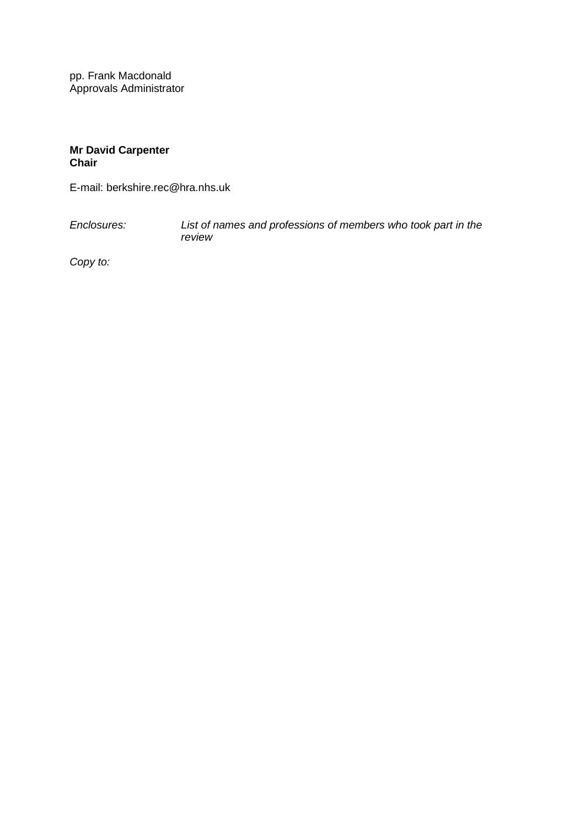pp. Frank Macdonald Approvals Administrator

## **Mr David Carpenter Chair**

E-mail: berkshire.rec@hra.nhs.uk

*Enclosures: List of names and professions of members who took part in the review*

*Copy to:*